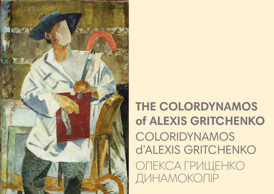

# THE COLORDYNAMOS of ALEXIS GRITCHENKO COLORIDYNAMOS **d'ALEXIS GRITCHENKO** ОЛЕКСА ГРИЩЕНКО ДИНАМОКОЛІР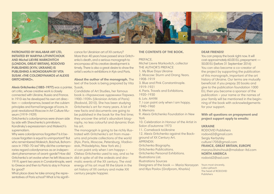

**PATRONATED BY MALABAR ART LTD, INITIATED BY MARYNA LITVINTCHOUK AND Michel LIEVRE MARKOVITCH (LONDON, GREAT BRITAIN), RODOVID PUBLISHERS (KYIV, UKRAINE) IS PUBLISHING A MONOGRAPH BY VITA SUSAK «THE COLORDYNAMOS of ALEXIS GRITCHENKO».**

**Alexis Gritchenko (1883-1977)** was a painter, Susak,

art critic, whose creative work is closely connected with Ukraine, Russia and France. In 1910-ies he developed his own art direction — colordynamos, based on the cubism principles and formal language of icons. In post-revolutional Moscow in Art Culture Museum (1919-1929)

Gritchenko's colordynamos were shown side by side with Shevchenko's primitivism, Kandinsky's expressionism and Malevich's suprematism.

Why were colordynamos forgotten? Is it because forgotten is equal to unimportant? But who remembered Malevich, Boichuk, Bohomazov in 1950-70-ies? Why did the contempo-stok, Philadelphia, New York etc.) raries regard colordynamos as an independent phenomenon of avant-garde? How did Gritchenko's art evolve when he left Moscow in did in spite of all the ordeals and dra-1919, spent two years in Constantinople, went matic events of the XX century. The vivid to Greece and then to Paris to stay in France for good?

What place does he take among the representatives of Paris school? What is his significance for Ukrainian art of XX century? More than 40 years have passed since Gritchenko's death, and a serious monograph to encompass all his creative development is timely. There is also a great desire to show the artist's works in exhibitions in Kyiv and Paris.

**About the author of the monograph.** The text of the book is being prepared by Vita

Candidate of Art Studies, her famous book is «Украинские художники Парижа. 1900-1939» (Ukrainian Artists of Paris) (Rodovid, 2010). She has been studying Gritchenko's art for many years. A lot of new facts and documents are going to be published in the book for the first time; they uncover the artist's abundant biography, no less colourful and dynamic than his art.

The monograph is going to be richly illustrated with Gritchenko's art from museums and private collections of the world (Kyiv, Paris, Moscow, Petersburg, Vladivo-«I can paint only when I am happy» – Oleksa Gritchenko used to say, and so he energy of his art must fill the blank in the art history of XX century and make XXI century people happier.

### **THE CONTENTS OF THE BOOK.**

### PREFACE.

Michel Lievre Мarkovitch, collector THE AUTHOR'S PREFACE 1. My Blue Days Ukraine 2. Moscow: Sturm und Drang Years. 1908-1919 3. Blue and Pink Constantinople. 1919-1921 4. Paris. Travels and Exhibitions. 1920-1930 6. Lviv. АНУМ 7. I can paint only when I am happy. 1940-1960 8. Memoirs 9. Alexis Gritchenko Foundation in New York 10. Celebration in Honour of the Artist in Salon d'automne 1973 11. Comeback toUkraine 12. Alexis Gritchenko against the Background of XX Century Art. APPENDIX: Gritchenko Biography. Gritchenko Publications. Gritchenko Personal Exhibitions. Illustrations List. Illustrations Sources Designers of the book — Maria Norazyan

and Illya Pavlov (Grafprom, Kharkiv)

### **DEAR FRIENDS!**

You can prepay the book right now. It will cost approximately 60.00 EU, prepayment — 50.00 EU (before 31 September 2016) You can also become a co-creator of the project by supporting the publication of this monograph, important of the art history of Ukraine. Our terms are mutually beneficial: if you prepay 20 books and give to the publication foundation 1000 EU, then you become a sponsor of the publication – your name or the names of your family will be mentioned in the beginning of the book with acknowledgements for your support.

## **With all questions on prepayment and project support apply to emails:**

#### **UKRAINE**

RODOVID Publishers rodovid2@gmail.com Sergiy Kerbytsky culture1705@gmail.com **FRANCE, GREAT BRITAIN, EUROPE** maryna.litvinchouk@malabar-ltd.com **NORTH AMERICA** rodovid2@aol.com

Yours most sincerely, Lidia Lykhach The head of RODOVID Publishers